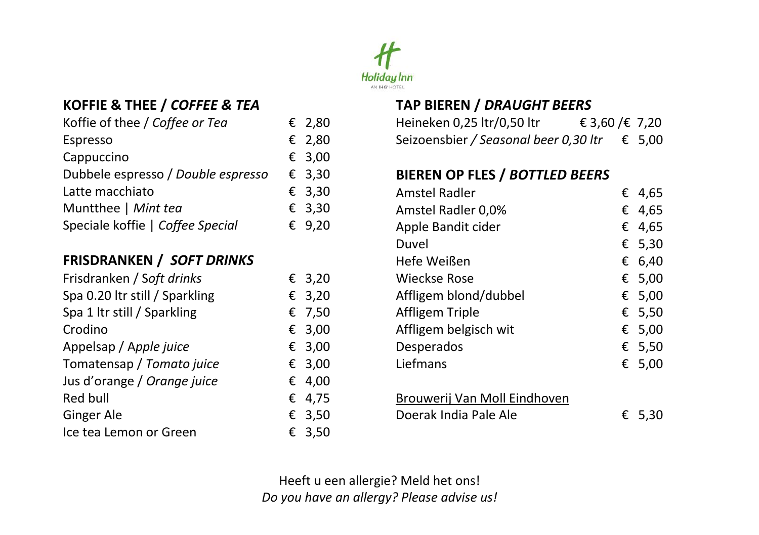

# **KOFFIE & THEE /** *COFFEE & TEA*

| Koffie of thee / Coffee or Tea     | € 2,80          |
|------------------------------------|-----------------|
| Espresso                           | € 2,80          |
| Cappuccino                         | € 3,00          |
| Dubbele espresso / Double espresso | $\epsilon$ 3,30 |
| Latte macchiato                    | $\epsilon$ 3,30 |
| Muntthee   Mint tea                | € 3,30          |
| Speciale koffie   Coffee Special   | € 9,20          |
|                                    |                 |

### **FRISDRANKEN /** *SOFT DRINKS*

| Frisdranken / Soft drinks      | $\epsilon$ 3.20 |
|--------------------------------|-----------------|
| Spa 0.20 Itr still / Sparkling | € 3,20          |
| Spa 1 Itr still / Sparkling    | € 7,50          |
| Crodino                        | € 3,00          |
| Appelsap / Apple juice         | € 3,00          |
| Tomatensap / Tomato juice      | € 3,00          |
| Jus d'orange / Orange juice    | € 4,00          |
| Red bull                       | € 4,75          |
| Ginger Ale                     | € 3,50          |
| Ice tea Lemon or Green         | € 3,50          |

### **TAP BIEREN /** *DRAUGHT BEERS*

| Heineken 0,25 ltr/0,50 ltr            | € 3,60 /€ 7,20 |        |
|---------------------------------------|----------------|--------|
| Seizoensbier / Seasonal beer 0,30 ltr |                | € 5,00 |

### **BIEREN OP FLES /** *BOTTLED BEERS*

| Amstel Radler                |   | € 4,65 |
|------------------------------|---|--------|
| Amstel Radler 0,0%           |   | € 4.65 |
| Apple Bandit cider           |   | € 4,65 |
| Duvel                        |   | € 5,30 |
| Hefe Weißen                  |   | € 6,40 |
| Wieckse Rose                 |   | € 5,00 |
| Affligem blond/dubbel        |   | € 5,00 |
| Affligem Triple              |   | € 5,50 |
| Affligem belgisch wit        |   | € 5,00 |
| Desperados                   |   | € 5,50 |
| Liefmans                     |   | € 5,00 |
|                              |   |        |
| Brouwerij Van Moll Eindhoven |   |        |
| Doerak India Pale Ale        | € | -5,30  |
|                              |   |        |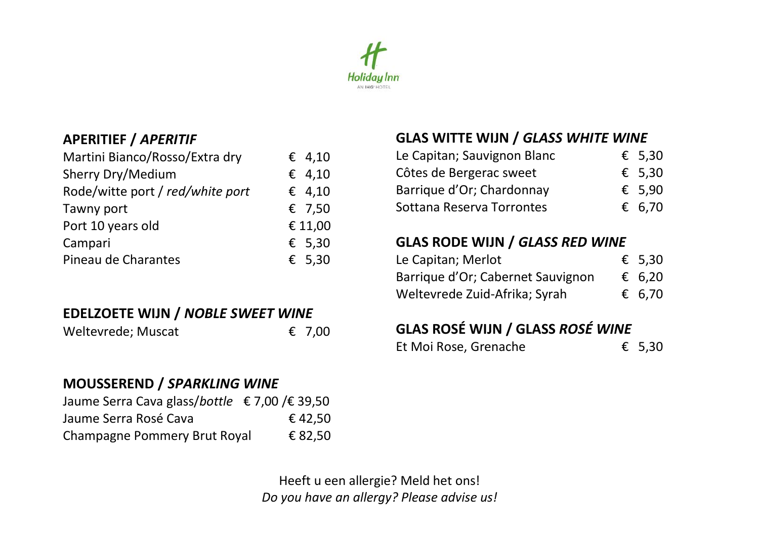

### **APERITIEF /** *APERITIF*

| Martini Bianco/Rosso/Extra dry   | € 4,10  |
|----------------------------------|---------|
| Sherry Dry/Medium                | € 4,10  |
| Rode/witte port / red/white port | € 4,10  |
| Tawny port                       | € 7,50  |
| Port 10 years old                | € 11,00 |
| Campari                          | £ 5,30  |
| Pineau de Charantes              | € 5,30  |

## **EDELZOETE WIJN /** *NOBLE SWEET WINE*

| Weltevrede; Muscat | € 7,00 |
|--------------------|--------|
|--------------------|--------|

### **MOUSSEREND /** *SPARKLING WINE*

| Jaume Serra Cava glass/bottle € 7,00 /€ 39,50 |         |
|-----------------------------------------------|---------|
| Jaume Serra Rosé Cava                         | € 42,50 |
| Champagne Pommery Brut Royal                  | € 82,50 |

## **GLAS WITTE WIJN /** *GLASS WHITE WINE*

| $\epsilon$ 5.30 |
|-----------------|
| $\epsilon$ 5.30 |
| € 5.90          |
| € 6.70          |
|                 |

### **GLAS RODE WIJN /** *GLASS RED WINE*

| Le Capitan; Merlot                | $\epsilon$ 5.30 |
|-----------------------------------|-----------------|
| Barrique d'Or; Cabernet Sauvignon | € 6.20          |
| Weltevrede Zuid-Afrika; Syrah     | € 6.70          |

# **GLAS ROSÉ WIJN / GLASS** *ROSÉ WINE*

| Et Moi Rose, Grenache | € 5,30 |
|-----------------------|--------|
|-----------------------|--------|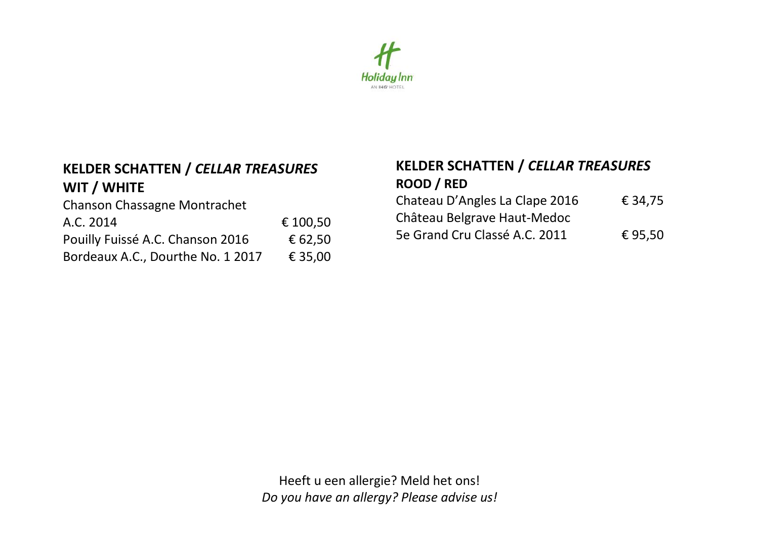

### **KELDER SCHATTEN /** *CELLAR TREASURES* **WIT / WHITE**

Chanson Chassagne Montrachet A.C. 2014 € 100,50 Pouilly Fuissé A.C. Chanson 2016 € 62,50 Bordeaux A.C., Dourthe No. 1 2017 € 35,00

## **KELDER SCHATTEN /** *CELLAR TREASURES* **ROOD / RED**

| Chateau D'Angles La Clape 2016 | € 34.75 |
|--------------------------------|---------|
| Château Belgrave Haut-Medoc    |         |
| 5e Grand Cru Classé A.C. 2011  | € 95.50 |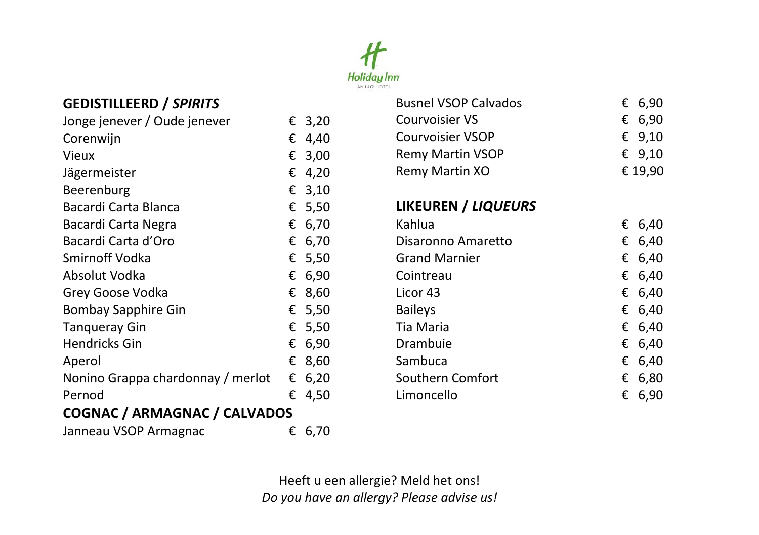

# **GEDISTILLEERD /** *SPIRITS*

| Jonge jenever / Oude jenever      | € | 3,20   |
|-----------------------------------|---|--------|
| Corenwijn                         | € | 4,40   |
| Vieux                             | € | 3,00   |
| Jägermeister                      | € | 4,20   |
| Beerenburg                        | € | 3,10   |
| Bacardi Carta Blanca              | € | 5,50   |
| Bacardi Carta Negra               | € | 6,70   |
| Bacardi Carta d'Oro               | € | 6,70   |
| Smirnoff Vodka                    |   | € 5,50 |
| Absolut Vodka                     | € | 6,90   |
| Grey Goose Vodka                  | € | 8,60   |
| Bombay Sapphire Gin               | € | 5,50   |
| <b>Tanqueray Gin</b>              | € | 5,50   |
| Hendricks Gin                     | € | 6,90   |
| Aperol                            | € | 8,60   |
| Nonino Grappa chardonnay / merlot | € | 6,20   |
| Pernod                            | € | 4,50   |
| COGNAC / ARMAGNAC / CALVADOS      |   |        |
| Janneau VSOP Armagnac             | € | 6,70   |

| <b>Busnel VSOP Calvados</b> | € | 6,90     |
|-----------------------------|---|----------|
| Courvoisier VS              | € | 6,90     |
| Courvoisier VSOP            |   | € $9,10$ |
| Remy Martin VSOP            |   | € 9,10   |
| Remy Martin XO              |   | € 19,90  |
| LIKEUREN / LIQUEURS         |   |          |
| Kahlua                      | € | 6,40     |
| Disaronno Amaretto          | € | 6,40     |
| <b>Grand Marnier</b>        | € | 6,40     |
| Cointreau                   | € | 6,40     |
| Licor 43                    | € | 6,40     |
| <b>Baileys</b>              | € | 6,40     |
| Tia Maria                   | € | 6,40     |
| Drambuie                    | € | 6,40     |
| Sambuca                     | € | 6,40     |
| Southern Comfort            | € | 6,80     |
| Limoncello                  | € | 6,90     |
|                             |   |          |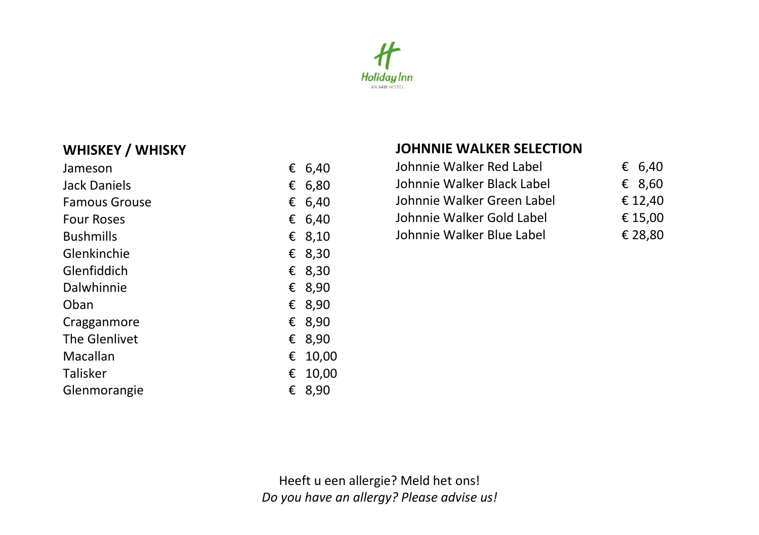

### **WHISKEY / WHISKY**

| Jameson              | € | 6,40  |
|----------------------|---|-------|
| Jack Daniels         | € | 6,80  |
| <b>Famous Grouse</b> | € | 6,40  |
| <b>Four Roses</b>    | € | 6,40  |
| <b>Bushmills</b>     | € | 8,10  |
| Glenkinchie          | € | 8,30  |
| Glenfiddich          | € | 8,30  |
| Dalwhinnie           | € | 8,90  |
| Oban                 | € | 8,90  |
| Cragganmore          | € | 8,90  |
| The Glenlivet        | € | 8,90  |
| Macallan             | € | 10,00 |
| Talisker             | € | 10,00 |
| Glenmorangie         | € | 8,90  |
|                      |   |       |

#### **JOHNNIE WALKER SELECTION**

| Johnnie Walker Red Label   | € 6,40  |
|----------------------------|---------|
| Johnnie Walker Black Label | € 8.60  |
| Johnnie Walker Green Label | € 12.40 |
| Johnnie Walker Gold Label  | € 15,00 |
| Johnnie Walker Blue Label  | € 28.80 |